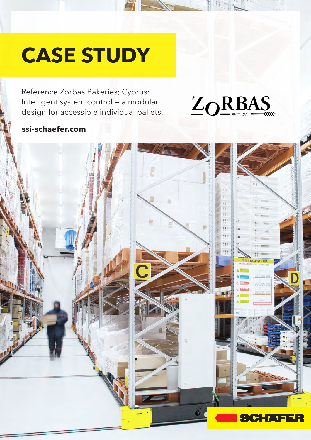# **CASE STUDY**

Reference Zorbas Bakeries; Cyprus: Intelligent system control — a modular design for accessible individual pallets.

# $Z_0$ RBAS

### **ssi-schaefer.com**

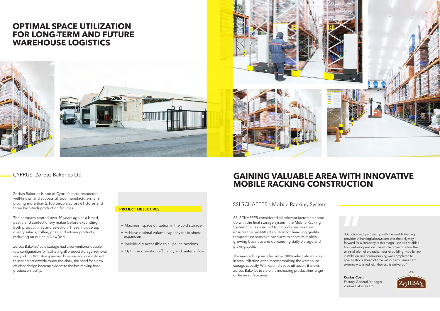# **OPTIMAL SPACE UTILIZATION FOR LONG-TERM AND FUTURE WAREHOUSE LOGISTICS**





Zorbas Bakeries is one of Cyprus's most respected, well-known and successful food manufacturers, employing more than 2,100 people across 61 stores and three high-tech production facilities.

The company started over 40 years ago as a bread, pastry and confectionery maker before expanding in both product lines and selection. These include top quality salads, coffee, pizza and artisan products, including an outlet in New York.

Zorbas Bakeries' cold storage had a conventional double row configuration for facilitating all product storage, retrieval and picking. With its expanding business and commitment to serving nationwide round-the-clock, the need for a new efficient design became evident to the fast-moving food production facility.

"Our choice of partnership with the world's leading provider of intralogistics systems was the only way forward for a company of this magnitude as it enables trouble-free operation. The whole project such as the uninstallation of old racks, floor re-building, mobile rack installation and commissioning was completed to specifications ahead of time without any issues. I am extremely satisfied with the results delivered."

**Costas Costi** Factory General Manager Zorbas Bakeries Ltd



# **GAINING VALUABLE AREA WITH INNOVATIVE MOBILE RACKING CONSTRUCTION**

### SSI SCHAEFER's Mobile Racking System

SSI SCHAEFER considered all relevant factors to come up with the final storage system; the Mobile Racking System that is designed to help Zorbas Bakeries, ensures the best-fitted solution for handling quality temperature sensitive products to serve its rapidly growing business and demanding daily storage and picking cycle.

The new rackings installed allow 100% selectivity and gain in area utilization without compromising the warehouse storage capacity. With optimal space utilization, it allows Zorbas Bakeries to store the increasing product line range on lesser surface area.



#### **PROJECT OBJECTIVES**

- Maximum space utilization in the cold storage
- Achieve optimal volume capacity for business expansion
- Individually accessible to all pallet locations
- Optimize operation efficiency and material flow